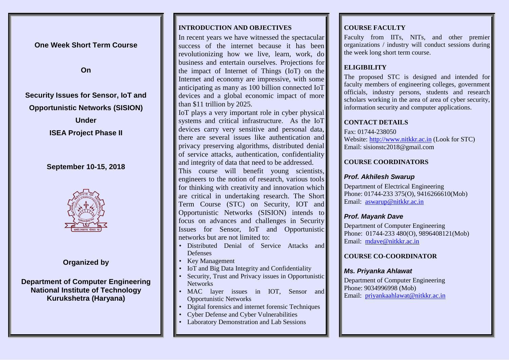**One Week Short Term Course**

**On**

# **Security Issues for Sensor, IoT and Opportunistic Networks (SISION) Under**

**ISEA Project Phase II**

# **September 10-15, 2018**



# **Organized by**

## **Department of Computer Engineering National Institute of Technology Kurukshetra (Haryana)**

#### **INTRODUCTION AND OBJECTIVES**

In recent years we have witnessed the spectacular success of the internet because it has been revolutionizing how we live, learn, work, do business and entertain ourselves. Projections for the impact of Internet of Things (IoT) on the Internet and economy are impressive, with some anticipating as many as 100 billion connected IoT devices and a global economic impact of more than \$11 trillion by 2025.

IoT plays a very important role in cyber physical systems and critical infrastructure. As the IoT devices carry very sensitive and personal data, there are several issues like authentication and privacy preserving algorithms, distributed denial of service attacks, authentication, confidentiality and integrity of data that need to be addressed.

This course will benefit young scientists, engineers to the notion of research, various tools for thinking with creativity and innovation which are critical in undertaking research. The Short Term Course (STC) on Security, IOT and Opportunistic Networks (SISION) intends to focus on advances and challenges in Security Issues for Sensor, IoT and Opportunistic networks but are not limited to:

- Distributed Denial of Service Attacks and Defenses
- Key Management
- IoT and Big Data Integrity and Confidentiality
- Security, Trust and Privacy issues in Opportunistic Networks
- MAC layer issues in IOT, Sensor and Opportunistic Networks
- Digital forensics and internet forensic Techniques
- Cyber Defense and Cyber Vulnerabilities
- Laboratory Demonstration and Lab Sessions

## **COURSE FACULTY**

Faculty from IITs, NITs, and other premier organizations / industry will conduct sessions during the week long short term course.

## **ELIGIBILITY**

The proposed STC is designed and intended for faculty members of engineering colleges, government officials, industry persons, students and research scholars working in the area of area of cyber security, information security and computer applications.

## **CONTACT DETAILS**

Fax: 01744-238050 Website[: http://www.nitkkr.ac.in](http://www.nitkkr.ac.in/) (Look for STC) Email: sisionstc2018@gmail.com

## **COURSE COORDINATORS**

### *Prof. Akhilesh Swarup*

Department of Electrical Engineering Phone: 01744-233 375(O), 9416266610(Mob) Email: [aswarup@nitkkr.ac.in](mailto:aswarup@nitkkr.ac.in)

## *Prof. Mayank Dave*

Department of Computer Engineering Phone: 01744-233 480(O), 9896408121(Mob) Email: [mdave@nitkkr.ac.in](mailto:mdave@nitkkr.ac.in)

## **COURSE CO-COORDINATOR**

#### *Ms. Priyanka Ahlawat*

Department of Computer Engineering Phone: 9034996998 (Mob) Email: [priyankaahlawat@nitkkr.ac.in](mailto:priyankaahlawat@nitkkr.ac.in)